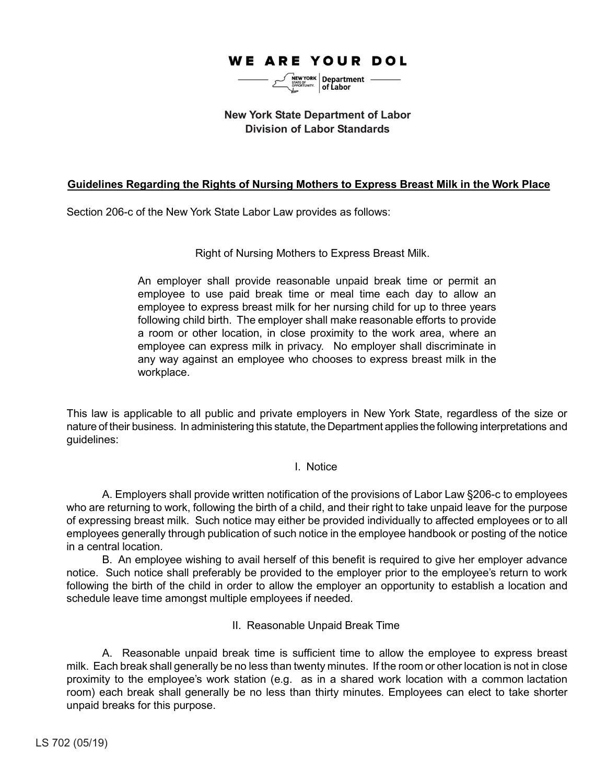# **WE ARE YOUR DOL**

 $\left[\begin{array}{c}\n\hline\n\text{NEW YORK} \\
\text{STATE OF} \\
\text{STATE OF} \\
\hline\n\end{array}\right]$  of Labor

# **New York State Department of Labor Division of Labor Standards**

### **Guidelines Regarding the Rights of Nursing Mothers to Express Breast Milk in the Work Place**

Section 206-c of the New York State Labor Law provides as follows:

Right of Nursing Mothers to Express Breast Milk.

An employer shall provide reasonable unpaid break time or permit an employee to use paid break time or meal time each day to allow an employee to express breast milk for her nursing child for up to three years following child birth. The employer shall make reasonable efforts to provide a room or other location, in close proximity to the work area, where an employee can express milk in privacy. No employer shall discriminate in any way against an employee who chooses to express breast milk in the workplace.

This law is applicable to all public and private employers in New York State, regardless of the size or nature of their business. In administering this statute, the Department applies the following interpretations and guidelines:

#### I. Notice

A. Employers shall provide written notification of the provisions of Labor Law §206-c to employees who are returning to work, following the birth of a child, and their right to take unpaid leave for the purpose of expressing breast milk. Such notice may either be provided individually to affected employees or to all employees generally through publication of such notice in the employee handbook or posting of the notice in a central location.

B. An employee wishing to avail herself of this benefit is required to give her employer advance notice. Such notice shall preferably be provided to the employer prior to the employee's return to work following the birth of the child in order to allow the employer an opportunity to establish a location and schedule leave time amongst multiple employees if needed.

II. Reasonable Unpaid Break Time

A. Reasonable unpaid break time is sufficient time to allow the employee to express breast milk. Each break shall generally be no less than twenty minutes. If the room or other location is not in close proximity to the employee's work station (e.g. as in a shared work location with a common lactation room) each break shall generally be no less than thirty minutes. Employees can elect to take shorter unpaid breaks for this purpose.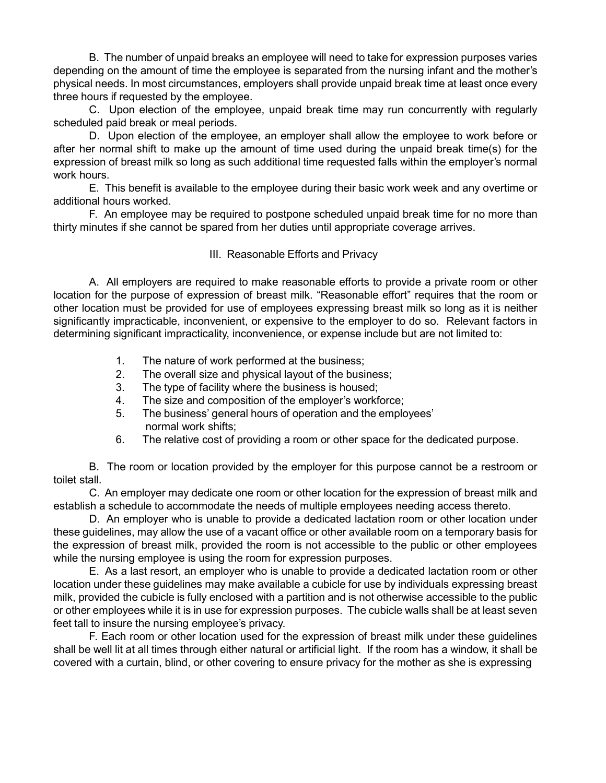B. The number of unpaid breaks an employee will need to take for expression purposes varies depending on the amount of time the employee is separated from the nursing infant and the mother's physical needs. In most circumstances, employers shall provide unpaid break time at least once every three hours if requested by the employee.

C. Upon election of the employee, unpaid break time may run concurrently with regularly scheduled paid break or meal periods.

D. Upon election of the employee, an employer shall allow the employee to work before or after her normal shift to make up the amount of time used during the unpaid break time(s) for the expression of breast milk so long as such additional time requested falls within the employer's normal work hours.

E. This benefit is available to the employee during their basic work week and any overtime or additional hours worked.

F. An employee may be required to postpone scheduled unpaid break time for no more than thirty minutes if she cannot be spared from her duties until appropriate coverage arrives.

#### III. Reasonable Efforts and Privacy

A. All employers are required to make reasonable efforts to provide a private room or other location for the purpose of expression of breast milk. "Reasonable effort" requires that the room or other location must be provided for use of employees expressing breast milk so long as it is neither significantly impracticable, inconvenient, or expensive to the employer to do so. Relevant factors in determining significant impracticality, inconvenience, or expense include but are not limited to:

- 1. The nature of work performed at the business;
- 2. The overall size and physical layout of the business;
- 3. The type of facility where the business is housed;
- 4. The size and composition of the employer's workforce;
- 5. The business' general hours of operation and the employees' normal work shifts;
- 6. The relative cost of providing a room or other space for the dedicated purpose.

B. The room or location provided by the employer for this purpose cannot be a restroom or toilet stall.

C. An employer may dedicate one room or other location for the expression of breast milk and establish a schedule to accommodate the needs of multiple employees needing access thereto.

D. An employer who is unable to provide a dedicated lactation room or other location under these guidelines, may allow the use of a vacant office or other available room on a temporary basis for the expression of breast milk, provided the room is not accessible to the public or other employees while the nursing employee is using the room for expression purposes.

E. As a last resort, an employer who is unable to provide a dedicated lactation room or other location under these guidelines may make available a cubicle for use by individuals expressing breast milk, provided the cubicle is fully enclosed with a partition and is not otherwise accessible to the public or other employees while it is in use for expression purposes. The cubicle walls shall be at least seven feet tall to insure the nursing employee's privacy.

F. Each room or other location used for the expression of breast milk under these guidelines shall be well lit at all times through either natural or artificial light. If the room has a window, it shall be covered with a curtain, blind, or other covering to ensure privacy for the mother as she is expressing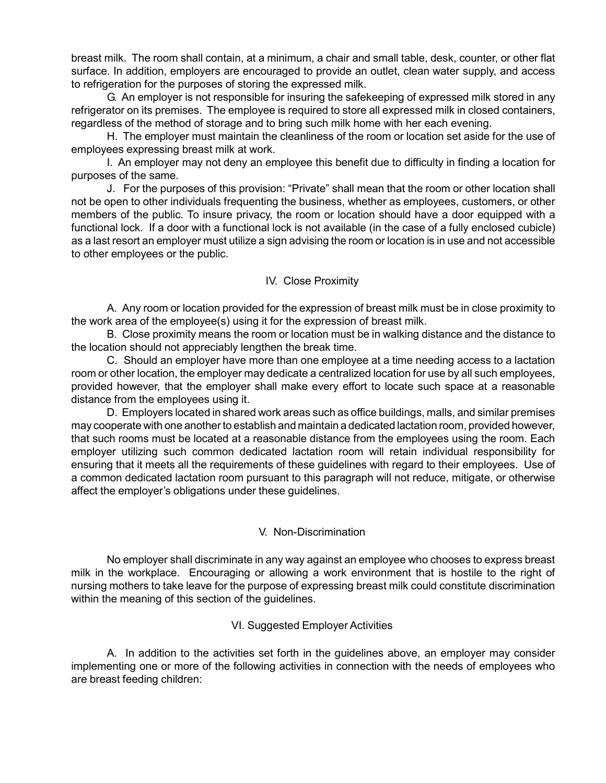breast milk. The room shall contain, at a minimum, a chair and small table, desk, counter, or other flat surface. In addition, employers are encouraged to provide an outlet, clean water supply, and access to refrigeration for the purposes of storing the expressed milk.

G. An employer is not responsible for insuring the safekeeping of expressed milk stored in any refrigerator on its premises. The employee is required to store all expressed milk in closed containers, regardless of the method of storage and to bring such milk home with her each evening.

H. The employer must maintain the cleanliness of the room or location set aside for the use of employees expressing breast milk at work.

I. An employer may not deny an employee this benefit due to difficulty in finding a location for purposes of the same.

J. For the purposes of this provision: "Private" shall mean that the room or other location shall not be open to other individuals frequenting the business, whether as employees, customers, or other members of the public. To insure privacy, the room or location should have a door equipped with a functional lock. If a door with a functional lock is not available (in the case of a fully enclosed cubicle) as a last resort an employer must utilize a sign advising the room or location is in use and not accessible to other employees or the public.

#### IV. Close Proximity

A. Any room or location provided for the expression of breast milk must be in close proximity to the work area of the employee(s) using it for the expression of breast milk.

B. Close proximity means the room or location must be in walking distance and the distance to the location should not appreciably lengthen the break time.

C. Should an employer have more than one employee at a time needing access to a lactation room or other location, the employer may dedicate a centralized location for use by all such employees, provided however, that the employer shall make every effort to locate such space at a reasonable distance from the employees using it.

D. Employers located in shared work areas such as office buildings, malls, and similar premises may cooperate with one another to establish and maintain a dedicated lactation room, provided however, that such rooms must be located at a reasonable distance from the employees using the room. Each employer utilizing such common dedicated lactation room will retain individual responsibility for ensuring that it meets all the requirements of these guidelines with regard to their employees. Use of a common dedicated lactation room pursuant to this paragraph will not reduce, mitigate, or otherwise affect the employer's obligations under these guidelines.

#### V. Non-Discrimination

No employer shall discriminate in any way against an employee who chooses to express breast milk in the workplace. Encouraging or allowing a work environment that is hostile to the right of nursing mothers to take leave for the purpose of expressing breast milk could constitute discrimination within the meaning of this section of the guidelines.

# VI. Suggested Employer Activities

A. In addition to the activities set forth in the guidelines above, an employer may consider implementing one or more of the following activities in connection with the needs of employees who are breast feeding children: